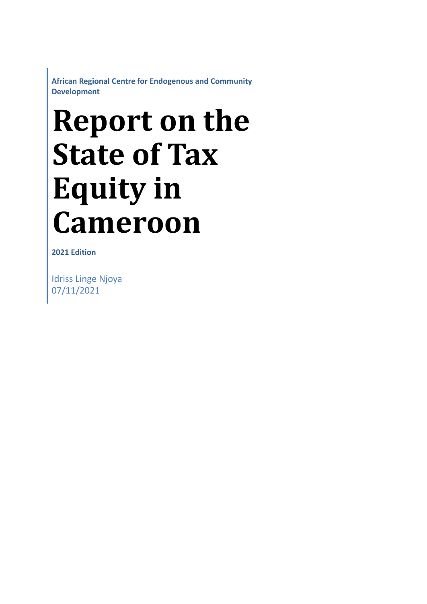**African Regional Centre for Endogenous and Community Development**

# **Report on the State of Tax Equity in Cameroon**

**2021 Edition**

Idriss Linge Njoya 07/11/2021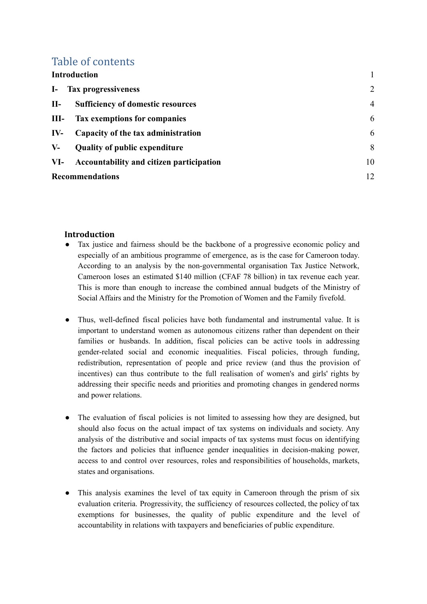## Table of contents

| <b>Introduction</b>    |                                                 |                |
|------------------------|-------------------------------------------------|----------------|
|                        | I- Tax progressiveness                          | 2              |
| $II-$                  | <b>Sufficiency of domestic resources</b>        | $\overline{4}$ |
| $III -$                | <b>Tax exemptions for companies</b>             | 6              |
| $IV-$                  | Capacity of the tax administration              | 6              |
| $V -$                  | <b>Quality of public expenditure</b>            | 8              |
| VI-                    | <b>Accountability and citizen participation</b> | 10             |
| <b>Recommendations</b> |                                                 | 12             |

#### <span id="page-1-0"></span>**Introduction**

- Tax justice and fairness should be the backbone of a progressive economic policy and especially of an ambitious programme of emergence, as is the case for Cameroon today. According to an analysis by the non-governmental organisation Tax Justice Network, Cameroon loses an estimated \$140 million (CFAF 78 billion) in tax revenue each year. This is more than enough to increase the combined annual budgets of the Ministry of Social Affairs and the Ministry for the Promotion of Women and the Family fivefold.
- Thus, well-defined fiscal policies have both fundamental and instrumental value. It is important to understand women as autonomous citizens rather than dependent on their families or husbands. In addition, fiscal policies can be active tools in addressing gender-related social and economic inequalities. Fiscal policies, through funding, redistribution, representation of people and price review (and thus the provision of incentives) can thus contribute to the full realisation of women's and girls' rights by addressing their specific needs and priorities and promoting changes in gendered norms and power relations.
- The evaluation of fiscal policies is not limited to assessing how they are designed, but should also focus on the actual impact of tax systems on individuals and society. Any analysis of the distributive and social impacts of tax systems must focus on identifying the factors and policies that influence gender inequalities in decision-making power, access to and control over resources, roles and responsibilities of households, markets, states and organisations.
- This analysis examines the level of tax equity in Cameroon through the prism of six evaluation criteria. Progressivity, the sufficiency of resources collected, the policy of tax exemptions for businesses, the quality of public expenditure and the level of accountability in relations with taxpayers and beneficiaries of public expenditure.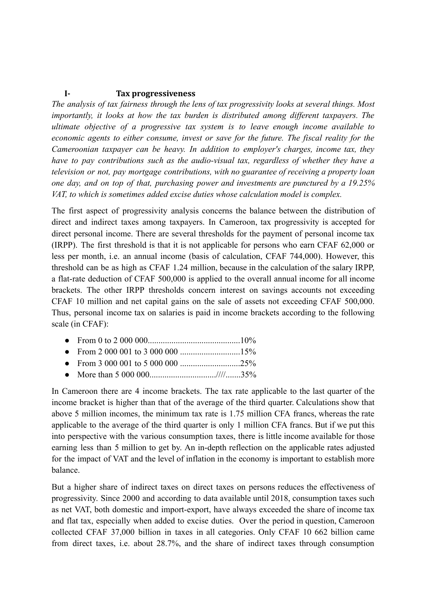#### <span id="page-2-0"></span>**I- Tax progressiveness**

*The analysis of tax fairness through the lens of tax progressivity looks at several things. Most importantly, it looks at how the tax burden is distributed among different taxpayers. The ultimate objective of a progressive tax system is to leave enough income available to economic agents to either consume, invest or save for the future. The fiscal reality for the Cameroonian taxpayer can be heavy. In addition to employer's charges, income tax, they have to pay contributions such as the audio-visual tax, regardless of whether they have a television or not, pay mortgage contributions, with no guarantee of receiving a property loan one day, and on top of that, purchasing power and investments are punctured by a 19.25% VAT, to which is sometimes added excise duties whose calculation model is complex.*

The first aspect of progressivity analysis concerns the balance between the distribution of direct and indirect taxes among taxpayers. In Cameroon, tax progressivity is accepted for direct personal income. There are several thresholds for the payment of personal income tax (IRPP). The first threshold is that it is not applicable for persons who earn CFAF 62,000 or less per month, i.e. an annual income (basis of calculation, CFAF 744,000). However, this threshold can be as high as CFAF 1.24 million, because in the calculation of the salary IRPP, a flat-rate deduction of CFAF 500,000 is applied to the overall annual income for all income brackets. The other IRPP thresholds concern interest on savings accounts not exceeding CFAF 10 million and net capital gains on the sale of assets not exceeding CFAF 500,000. Thus, personal income tax on salaries is paid in income brackets according to the following scale (in CFAF):

- From 0 to 2 000 000...........................................10%
- From 2 000 001 to 3 000 000 ............................15%
- From 3 000 001 to 5 000 000 ............................25%
- More than 5 000 000...............................////.......35%

In Cameroon there are 4 income brackets. The tax rate applicable to the last quarter of the income bracket is higher than that of the average of the third quarter. Calculations show that above 5 million incomes, the minimum tax rate is 1.75 million CFA francs, whereas the rate applicable to the average of the third quarter is only 1 million CFA francs. But if we put this into perspective with the various consumption taxes, there is little income available for those earning less than 5 million to get by. An in-depth reflection on the applicable rates adjusted for the impact of VAT and the level of inflation in the economy is important to establish more balance.

But a higher share of indirect taxes on direct taxes on persons reduces the effectiveness of progressivity. Since 2000 and according to data available until 2018, consumption taxes such as net VAT, both domestic and import-export, have always exceeded the share of income tax and flat tax, especially when added to excise duties. Over the period in question, Cameroon collected CFAF 37,000 billion in taxes in all categories. Only CFAF 10 662 billion came from direct taxes, i.e. about 28.7%, and the share of indirect taxes through consumption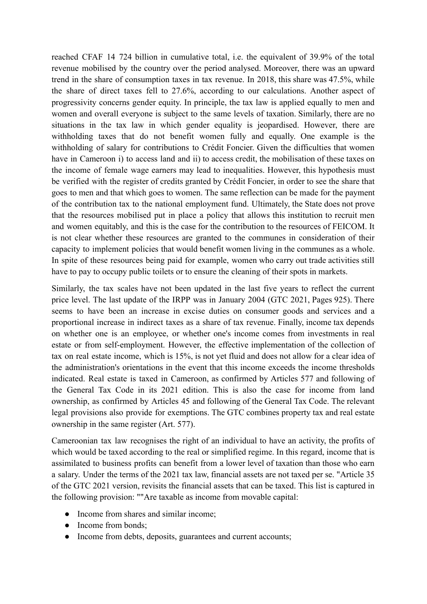reached CFAF 14 724 billion in cumulative total, i.e. the equivalent of 39.9% of the total revenue mobilised by the country over the period analysed. Moreover, there was an upward trend in the share of consumption taxes in tax revenue. In 2018, this share was 47.5%, while the share of direct taxes fell to 27.6%, according to our calculations. Another aspect of progressivity concerns gender equity. In principle, the tax law is applied equally to men and women and overall everyone is subject to the same levels of taxation. Similarly, there are no situations in the tax law in which gender equality is jeopardised. However, there are withholding taxes that do not benefit women fully and equally. One example is the withholding of salary for contributions to Crédit Foncier. Given the difficulties that women have in Cameroon i) to access land and ii) to access credit, the mobilisation of these taxes on the income of female wage earners may lead to inequalities. However, this hypothesis must be verified with the register of credits granted by Crédit Foncier, in order to see the share that goes to men and that which goes to women. The same reflection can be made for the payment of the contribution tax to the national employment fund. Ultimately, the State does not prove that the resources mobilised put in place a policy that allows this institution to recruit men and women equitably, and this is the case for the contribution to the resources of FEICOM. It is not clear whether these resources are granted to the communes in consideration of their capacity to implement policies that would benefit women living in the communes as a whole. In spite of these resources being paid for example, women who carry out trade activities still have to pay to occupy public toilets or to ensure the cleaning of their spots in markets.

Similarly, the tax scales have not been updated in the last five years to reflect the current price level. The last update of the IRPP was in January 2004 (GTC 2021, Pages 925). There seems to have been an increase in excise duties on consumer goods and services and a proportional increase in indirect taxes as a share of tax revenue. Finally, income tax depends on whether one is an employee, or whether one's income comes from investments in real estate or from self-employment. However, the effective implementation of the collection of tax on real estate income, which is 15%, is not yet fluid and does not allow for a clear idea of the administration's orientations in the event that this income exceeds the income thresholds indicated. Real estate is taxed in Cameroon, as confirmed by Articles 577 and following of the General Tax Code in its 2021 edition. This is also the case for income from land ownership, as confirmed by Articles 45 and following of the General Tax Code. The relevant legal provisions also provide for exemptions. The GTC combines property tax and real estate ownership in the same register (Art. 577).

Cameroonian tax law recognises the right of an individual to have an activity, the profits of which would be taxed according to the real or simplified regime. In this regard, income that is assimilated to business profits can benefit from a lower level of taxation than those who earn a salary. Under the terms of the 2021 tax law, financial assets are not taxed per se. "Article 35 of the GTC 2021 version, revisits the financial assets that can be taxed. This list is captured in the following provision: ""Are taxable as income from movable capital:

- Income from shares and similar income;
- Income from bonds;
- Income from debts, deposits, guarantees and current accounts;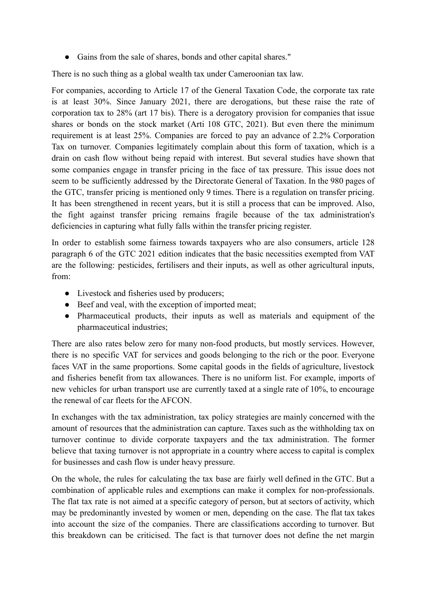● Gains from the sale of shares, bonds and other capital shares."

There is no such thing as a global wealth tax under Cameroonian tax law.

For companies, according to Article 17 of the General Taxation Code, the corporate tax rate is at least 30%. Since January 2021, there are derogations, but these raise the rate of corporation tax to 28% (art 17 bis). There is a derogatory provision for companies that issue shares or bonds on the stock market (Arti 108 GTC, 2021). But even there the minimum requirement is at least 25%. Companies are forced to pay an advance of 2.2% Corporation Tax on turnover. Companies legitimately complain about this form of taxation, which is a drain on cash flow without being repaid with interest. But several studies have shown that some companies engage in transfer pricing in the face of tax pressure. This issue does not seem to be sufficiently addressed by the Directorate General of Taxation. In the 980 pages of the GTC, transfer pricing is mentioned only 9 times. There is a regulation on transfer pricing. It has been strengthened in recent years, but it is still a process that can be improved. Also, the fight against transfer pricing remains fragile because of the tax administration's deficiencies in capturing what fully falls within the transfer pricing register.

In order to establish some fairness towards taxpayers who are also consumers, article 128 paragraph 6 of the GTC 2021 edition indicates that the basic necessities exempted from VAT are the following: pesticides, fertilisers and their inputs, as well as other agricultural inputs, from:

- Livestock and fisheries used by producers;
- Beef and veal, with the exception of imported meat;
- Pharmaceutical products, their inputs as well as materials and equipment of the pharmaceutical industries;

There are also rates below zero for many non-food products, but mostly services. However, there is no specific VAT for services and goods belonging to the rich or the poor. Everyone faces VAT in the same proportions. Some capital goods in the fields of agriculture, livestock and fisheries benefit from tax allowances. There is no uniform list. For example, imports of new vehicles for urban transport use are currently taxed at a single rate of 10%, to encourage the renewal of car fleets for the AFCON.

In exchanges with the tax administration, tax policy strategies are mainly concerned with the amount of resources that the administration can capture. Taxes such as the withholding tax on turnover continue to divide corporate taxpayers and the tax administration. The former believe that taxing turnover is not appropriate in a country where access to capital is complex for businesses and cash flow is under heavy pressure.

On the whole, the rules for calculating the tax base are fairly well defined in the GTC. But a combination of applicable rules and exemptions can make it complex for non-professionals. The flat tax rate is not aimed at a specific category of person, but at sectors of activity, which may be predominantly invested by women or men, depending on the case. The flat tax takes into account the size of the companies. There are classifications according to turnover. But this breakdown can be criticised. The fact is that turnover does not define the net margin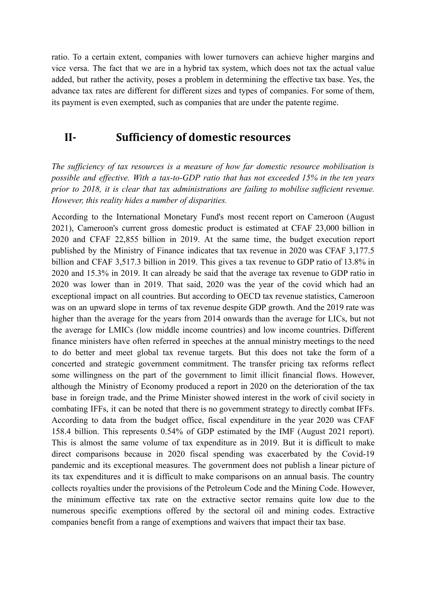ratio. To a certain extent, companies with lower turnovers can achieve higher margins and vice versa. The fact that we are in a hybrid tax system, which does not tax the actual value added, but rather the activity, poses a problem in determining the effective tax base. Yes, the advance tax rates are different for different sizes and types of companies. For some of them, its payment is even exempted, such as companies that are under the patente regime.

### <span id="page-5-0"></span>**II- Sufficiency of domestic resources**

*The sufficiency of tax resources is a measure of how far domestic resource mobilisation is possible and effective. With a tax-to-GDP ratio that has not exceeded 15% in the ten years prior to 2018, it is clear that tax administrations are failing to mobilise sufficient revenue. However, this reality hides a number of disparities.*

According to the International Monetary Fund's most recent report on Cameroon (August 2021), Cameroon's current gross domestic product is estimated at CFAF 23,000 billion in 2020 and CFAF 22,855 billion in 2019. At the same time, the budget execution report published by the Ministry of Finance indicates that tax revenue in 2020 was CFAF 3,177.5 billion and CFAF 3,517.3 billion in 2019. This gives a tax revenue to GDP ratio of 13.8% in 2020 and 15.3% in 2019. It can already be said that the average tax revenue to GDP ratio in 2020 was lower than in 2019. That said, 2020 was the year of the covid which had an exceptional impact on all countries. But according to OECD tax revenue statistics, Cameroon was on an upward slope in terms of tax revenue despite GDP growth. And the 2019 rate was higher than the average for the years from 2014 onwards than the average for LICs, but not the average for LMICs (low middle income countries) and low income countries. Different finance ministers have often referred in speeches at the annual ministry meetings to the need to do better and meet global tax revenue targets. But this does not take the form of a concerted and strategic government commitment. The transfer pricing tax reforms reflect some willingness on the part of the government to limit illicit financial flows. However, although the Ministry of Economy produced a report in 2020 on the deterioration of the tax base in foreign trade, and the Prime Minister showed interest in the work of civil society in combating IFFs, it can be noted that there is no government strategy to directly combat IFFs. According to data from the budget office, fiscal expenditure in the year 2020 was CFAF 158.4 billion. This represents 0.54% of GDP estimated by the IMF (August 2021 report). This is almost the same volume of tax expenditure as in 2019. But it is difficult to make direct comparisons because in 2020 fiscal spending was exacerbated by the Covid-19 pandemic and its exceptional measures. The government does not publish a linear picture of its tax expenditures and it is difficult to make comparisons on an annual basis. The country collects royalties under the provisions of the Petroleum Code and the Mining Code. However, the minimum effective tax rate on the extractive sector remains quite low due to the numerous specific exemptions offered by the sectoral oil and mining codes. Extractive companies benefit from a range of exemptions and waivers that impact their tax base.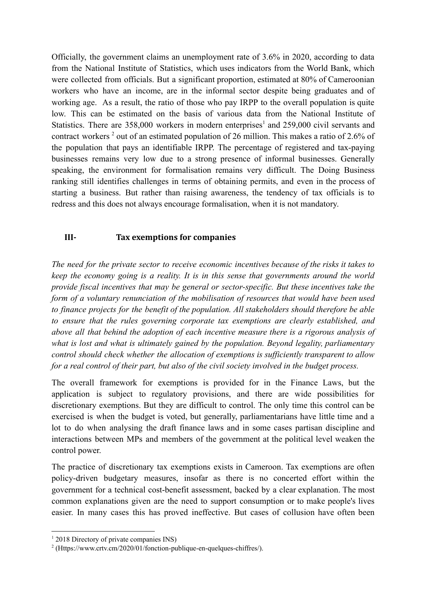Officially, the government claims an unemployment rate of 3.6% in 2020, according to data from the National Institute of Statistics, which uses indicators from the World Bank, which were collected from officials. But a significant proportion, estimated at 80% of Cameroonian workers who have an income, are in the informal sector despite being graduates and of working age. As a result, the ratio of those who pay IRPP to the overall population is quite low. This can be estimated on the basis of various data from the National Institute of Statistics. There are  $358,000$  workers in modern enterprises<sup>1</sup> and  $259,000$  civil servants and contract workers<sup>2</sup> out of an estimated population of 26 million. This makes a ratio of 2.6% of the population that pays an identifiable IRPP. The percentage of registered and tax-paying businesses remains very low due to a strong presence of informal businesses. Generally speaking, the environment for formalisation remains very difficult. The Doing Business ranking still identifies challenges in terms of obtaining permits, and even in the process of starting a business. But rather than raising awareness, the tendency of tax officials is to redress and this does not always encourage formalisation, when it is not mandatory.

#### <span id="page-6-0"></span>**III- Tax exemptions for companies**

*The need for the private sector to receive economic incentives because of the risks it takes to keep the economy going is a reality. It is in this sense that governments around the world provide fiscal incentives that may be general or sector-specific. But these incentives take the form of a voluntary renunciation of the mobilisation of resources that would have been used to finance projects for the benefit of the population. All stakeholders should therefore be able to ensure that the rules governing corporate tax exemptions are clearly established, and above all that behind the adoption of each incentive measure there is a rigorous analysis of what is lost and what is ultimately gained by the population. Beyond legality, parliamentary control should check whether the allocation of exemptions is sufficiently transparent to allow for a real control of their part, but also of the civil society involved in the budget process.*

The overall framework for exemptions is provided for in the Finance Laws, but the application is subject to regulatory provisions, and there are wide possibilities for discretionary exemptions. But they are difficult to control. The only time this control can be exercised is when the budget is voted, but generally, parliamentarians have little time and a lot to do when analysing the draft finance laws and in some cases partisan discipline and interactions between MPs and members of the government at the political level weaken the control power.

The practice of discretionary tax exemptions exists in Cameroon. Tax exemptions are often policy-driven budgetary measures, insofar as there is no concerted effort within the government for a technical cost-benefit assessment, backed by a clear explanation. The most common explanations given are the need to support consumption or to make people's lives easier. In many cases this has proved ineffective. But cases of collusion have often been

<sup>&</sup>lt;sup>1</sup> 2018 Directory of private companies INS)

<sup>&</sup>lt;sup>2</sup> (Https://www.crtv.cm/2020/01/fonction-publique-en-quelques-chiffres/).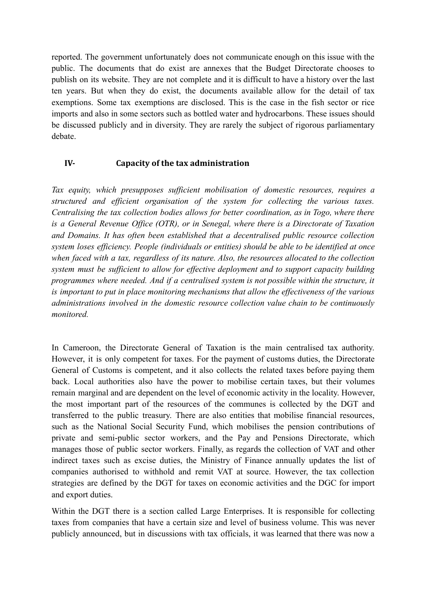reported. The government unfortunately does not communicate enough on this issue with the public. The documents that do exist are annexes that the Budget Directorate chooses to publish on its website. They are not complete and it is difficult to have a history over the last ten years. But when they do exist, the documents available allow for the detail of tax exemptions. Some tax exemptions are disclosed. This is the case in the fish sector or rice imports and also in some sectors such as bottled water and hydrocarbons. These issues should be discussed publicly and in diversity. They are rarely the subject of rigorous parliamentary debate.

#### <span id="page-7-0"></span>**IV- Capacity of the tax administration**

*Tax equity, which presupposes sufficient mobilisation of domestic resources, requires a structured and efficient organisation of the system for collecting the various taxes. Centralising the tax collection bodies allows for better coordination, as in Togo, where there is a General Revenue Office (OTR), or in Senegal, where there is a Directorate of Taxation and Domains. It has often been established that a decentralised public resource collection system loses efficiency. People (individuals or entities) should be able to be identified at once when faced with a tax, regardless of its nature. Also, the resources allocated to the collection system must be sufficient to allow for effective deployment and to support capacity building programmes where needed. And if a centralised system is not possible within the structure, it is important to put in place monitoring mechanisms that allow the effectiveness of the various administrations involved in the domestic resource collection value chain to be continuously monitored.*

In Cameroon, the Directorate General of Taxation is the main centralised tax authority. However, it is only competent for taxes. For the payment of customs duties, the Directorate General of Customs is competent, and it also collects the related taxes before paying them back. Local authorities also have the power to mobilise certain taxes, but their volumes remain marginal and are dependent on the level of economic activity in the locality. However, the most important part of the resources of the communes is collected by the DGT and transferred to the public treasury. There are also entities that mobilise financial resources, such as the National Social Security Fund, which mobilises the pension contributions of private and semi-public sector workers, and the Pay and Pensions Directorate, which manages those of public sector workers. Finally, as regards the collection of VAT and other indirect taxes such as excise duties, the Ministry of Finance annually updates the list of companies authorised to withhold and remit VAT at source. However, the tax collection strategies are defined by the DGT for taxes on economic activities and the DGC for import and export duties.

Within the DGT there is a section called Large Enterprises. It is responsible for collecting taxes from companies that have a certain size and level of business volume. This was never publicly announced, but in discussions with tax officials, it was learned that there was now a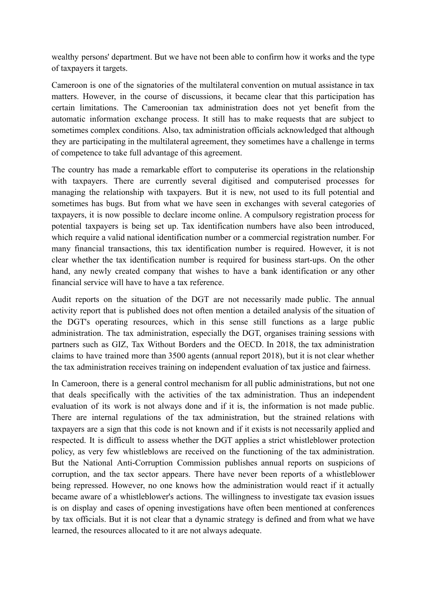wealthy persons' department. But we have not been able to confirm how it works and the type of taxpayers it targets.

Cameroon is one of the signatories of the multilateral convention on mutual assistance in tax matters. However, in the course of discussions, it became clear that this participation has certain limitations. The Cameroonian tax administration does not yet benefit from the automatic information exchange process. It still has to make requests that are subject to sometimes complex conditions. Also, tax administration officials acknowledged that although they are participating in the multilateral agreement, they sometimes have a challenge in terms of competence to take full advantage of this agreement.

The country has made a remarkable effort to computerise its operations in the relationship with taxpayers. There are currently several digitised and computerised processes for managing the relationship with taxpayers. But it is new, not used to its full potential and sometimes has bugs. But from what we have seen in exchanges with several categories of taxpayers, it is now possible to declare income online. A compulsory registration process for potential taxpayers is being set up. Tax identification numbers have also been introduced, which require a valid national identification number or a commercial registration number. For many financial transactions, this tax identification number is required. However, it is not clear whether the tax identification number is required for business start-ups. On the other hand, any newly created company that wishes to have a bank identification or any other financial service will have to have a tax reference.

Audit reports on the situation of the DGT are not necessarily made public. The annual activity report that is published does not often mention a detailed analysis of the situation of the DGT's operating resources, which in this sense still functions as a large public administration. The tax administration, especially the DGT, organises training sessions with partners such as GIZ, Tax Without Borders and the OECD. In 2018, the tax administration claims to have trained more than 3500 agents (annual report 2018), but it is not clear whether the tax administration receives training on independent evaluation of tax justice and fairness.

In Cameroon, there is a general control mechanism for all public administrations, but not one that deals specifically with the activities of the tax administration. Thus an independent evaluation of its work is not always done and if it is, the information is not made public. There are internal regulations of the tax administration, but the strained relations with taxpayers are a sign that this code is not known and if it exists is not necessarily applied and respected. It is difficult to assess whether the DGT applies a strict whistleblower protection policy, as very few whistleblows are received on the functioning of the tax administration. But the National Anti-Corruption Commission publishes annual reports on suspicions of corruption, and the tax sector appears. There have never been reports of a whistleblower being repressed. However, no one knows how the administration would react if it actually became aware of a whistleblower's actions. The willingness to investigate tax evasion issues is on display and cases of opening investigations have often been mentioned at conferences by tax officials. But it is not clear that a dynamic strategy is defined and from what we have learned, the resources allocated to it are not always adequate.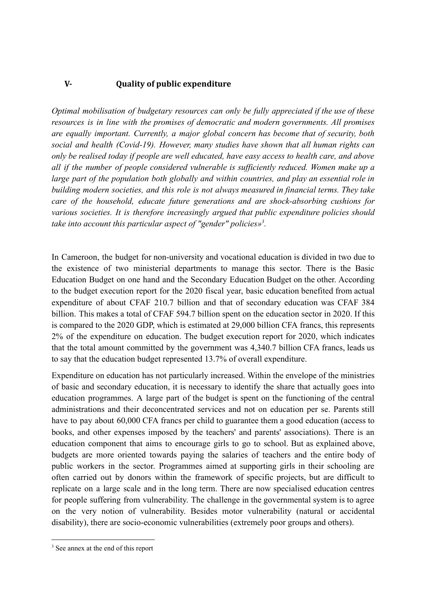#### <span id="page-9-0"></span>**V- Quality of public expenditure**

*Optimal mobilisation of budgetary resources can only be fully appreciated if the use of these resources is in line with the promises of democratic and modern governments. All promises are equally important. Currently, a major global concern has become that of security, both social and health (Covid-19). However, many studies have shown that all human rights can only be realised today if people are well educated, have easy access to health care, and above all if the number of people considered vulnerable is sufficiently reduced. Women make up a large part of the population both globally and within countries, and play an essential role in building modern societies, and this role is not always measured in financial terms. They take care of the household, educate future generations and are shock-absorbing cushions for various societies. It is therefore increasingly argued that public expenditure policies should* take into account this particular aspect of "gender" policies»<sup>3</sup>.

In Cameroon, the budget for non-university and vocational education is divided in two due to the existence of two ministerial departments to manage this sector. There is the Basic Education Budget on one hand and the Secondary Education Budget on the other. According to the budget execution report for the 2020 fiscal year, basic education benefited from actual expenditure of about CFAF 210.7 billion and that of secondary education was CFAF 384 billion. This makes a total of CFAF 594.7 billion spent on the education sector in 2020. If this is compared to the 2020 GDP, which is estimated at 29,000 billion CFA francs, this represents 2% of the expenditure on education. The budget execution report for 2020, which indicates that the total amount committed by the government was 4,340.7 billion CFA francs, leads us to say that the education budget represented 13.7% of overall expenditure.

Expenditure on education has not particularly increased. Within the envelope of the ministries of basic and secondary education, it is necessary to identify the share that actually goes into education programmes. A large part of the budget is spent on the functioning of the central administrations and their deconcentrated services and not on education per se. Parents still have to pay about 60,000 CFA francs per child to guarantee them a good education (access to books, and other expenses imposed by the teachers' and parents' associations). There is an education component that aims to encourage girls to go to school. But as explained above, budgets are more oriented towards paying the salaries of teachers and the entire body of public workers in the sector. Programmes aimed at supporting girls in their schooling are often carried out by donors within the framework of specific projects, but are difficult to replicate on a large scale and in the long term. There are now specialised education centres for people suffering from vulnerability. The challenge in the governmental system is to agree on the very notion of vulnerability. Besides motor vulnerability (natural or accidental disability), there are socio-economic vulnerabilities (extremely poor groups and others).

<sup>&</sup>lt;sup>3</sup> See annex at the end of this report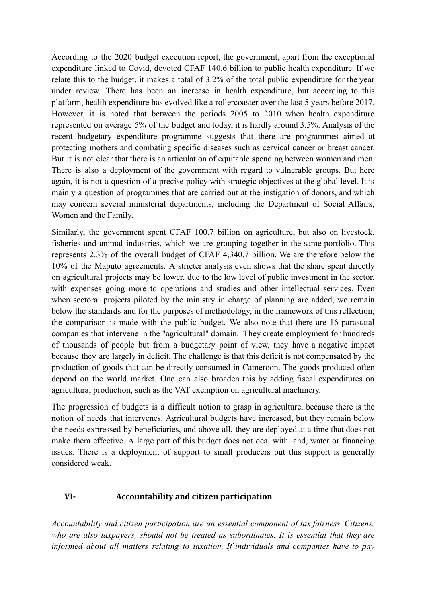According to the 2020 budget execution report, the government, apart from the exceptional expenditure linked to Covid, devoted CFAF 140.6 billion to public health expenditure. If we relate this to the budget, it makes a total of 3.2% of the total public expenditure for the year under review. There has been an increase in health expenditure, but according to this platform, health expenditure has evolved like a rollercoaster over the last 5 years before 2017. However, it is noted that between the periods 2005 to 2010 when health expenditure represented on average 5% of the budget and today, it is hardly around 3.5%. Analysis of the recent budgetary expenditure programme suggests that there are programmes aimed at protecting mothers and combating specific diseases such as cervical cancer or breast cancer. But it is not clear that there is an articulation of equitable spending between women and men. There is also a deployment of the government with regard to vulnerable groups. But here again, it is not a question of a precise policy with strategic objectives at the global level. It is mainly a question of programmes that are carried out at the instigation of donors, and which may concern several ministerial departments, including the Department of Social Affairs, Women and the Family.

Similarly, the government spent CFAF 100.7 billion on agriculture, but also on livestock, fisheries and animal industries, which we are grouping together in the same portfolio. This represents 2.3% of the overall budget of CFAF 4,340.7 billion. We are therefore below the 10% of the Maputo agreements. A stricter analysis even shows that the share spent directly on agricultural projects may be lower, due to the low level of public investment in the sector, with expenses going more to operations and studies and other intellectual services. Even when sectoral projects piloted by the ministry in charge of planning are added, we remain below the standards and for the purposes of methodology, in the framework of this reflection, the comparison is made with the public budget. We also note that there are 16 parastatal companies that intervene in the "agricultural" domain. They create employment for hundreds of thousands of people but from a budgetary point of view, they have a negative impact because they are largely in deficit. The challenge is that this deficit is not compensated by the production of goods that can be directly consumed in Cameroon. The goods produced often depend on the world market. One can also broaden this by adding fiscal expenditures on agricultural production, such as the VAT exemption on agricultural machinery.

The progression of budgets is a difficult notion to grasp in agriculture, because there is the notion of needs that intervenes. Agricultural budgets have increased, but they remain below the needs expressed by beneficiaries, and above all, they are deployed at a time that does not make them effective. A large part of this budget does not deal with land, water or financing issues. There is a deployment of support to small producers but this support is generally considered weak.

#### <span id="page-10-0"></span>**VI- Accountability and citizen participation**

*Accountability and citizen participation are an essential component of tax fairness. Citizens, who are also taxpayers, should not be treated as subordinates. It is essential that they are informed about all matters relating to taxation. If individuals and companies have to pay*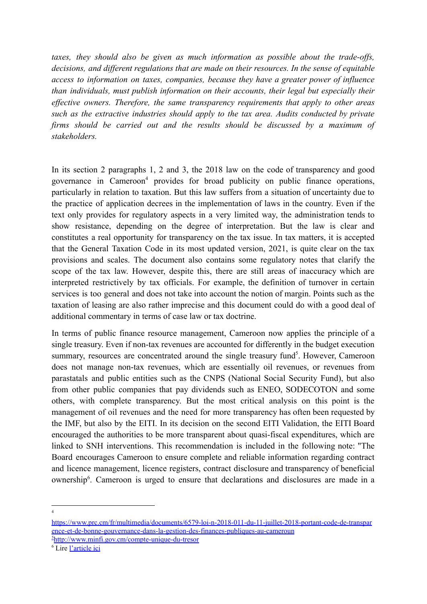*taxes, they should also be given as much information as possible about the trade-offs, decisions, and different regulations that are made on their resources. In the sense of equitable access to information on taxes, companies, because they have a greater power of influence than individuals, must publish information on their accounts, their legal but especially their effective owners. Therefore, the same transparency requirements that apply to other areas such as the extractive industries should apply to the tax area. Audits conducted by private firms should be carried out and the results should be discussed by a maximum of stakeholders.*

In its section 2 paragraphs 1, 2 and 3, the 2018 law on the code of transparency and good governance in Cameroon<sup>4</sup> provides for broad publicity on public finance operations, particularly in relation to taxation. But this law suffers from a situation of uncertainty due to the practice of application decrees in the implementation of laws in the country. Even if the text only provides for regulatory aspects in a very limited way, the administration tends to show resistance, depending on the degree of interpretation. But the law is clear and constitutes a real opportunity for transparency on the tax issue. In tax matters, it is accepted that the General Taxation Code in its most updated version, 2021, is quite clear on the tax provisions and scales. The document also contains some regulatory notes that clarify the scope of the tax law. However, despite this, there are still areas of inaccuracy which are interpreted restrictively by tax officials. For example, the definition of turnover in certain services is too general and does not take into account the notion of margin. Points such as the taxation of leasing are also rather imprecise and this document could do with a good deal of additional commentary in terms of case law or tax doctrine.

In terms of public finance resource management, Cameroon now applies the principle of a single treasury. Even if non-tax revenues are accounted for differently in the budget execution summary, resources are concentrated around the single treasury fund<sup>5</sup>. However, Cameroon does not manage non-tax revenues, which are essentially oil revenues, or revenues from parastatals and public entities such as the CNPS (National Social Security Fund), but also from other public companies that pay dividends such as ENEO, SODECOTON and some others, with complete transparency. But the most critical analysis on this point is the management of oil revenues and the need for more transparency has often been requested by the IMF, but also by the EITI. In its decision on the second EITI Validation, the EITI Board encouraged the authorities to be more transparent about quasi-fiscal expenditures, which are linked to SNH interventions. This recommendation is included in the following note: "The Board encourages Cameroon to ensure complete and reliable information regarding contract and licence management, licence registers, contract disclosure and transparency of beneficial ownership<sup>6</sup>. Cameroon is urged to ensure that declarations and disclosures are made in a

4

<sup>5</sup><http://www.minfi.gov.cm/compte-unique-du-tresor> [https://www.prc.cm/fr/multimedia/documents/6579-loi-n-2018-011-du-11-juillet-2018-portant-code-de-transpar](https://www.prc.cm/fr/multimedia/documents/6579-loi-n-2018-011-du-11-juillet-2018-portant-code-de-transparence-et-de-bonne-gouvernance-dans-la-gestion-des-finances-publiques-au-cameroun) [ence-et-de-bonne-gouvernance-dans-la-gestion-des-finances-publiques-au-cameroun](https://www.prc.cm/fr/multimedia/documents/6579-loi-n-2018-011-du-11-juillet-2018-portant-code-de-transparence-et-de-bonne-gouvernance-dans-la-gestion-des-finances-publiques-au-cameroun)

<sup>6</sup> Lire [l'article](https://www.investiraucameroun.com/gestion-publique/0102-15903-itie-face-a-une-2e-validation-non-concluante-le-cameroun-va-passer-un-autre-examen-de-rattrapage-des-avril-2023#:~:text=Investir%20au%20Cameroun-,ITIE%20%3A%20face%20%C3%A0%20une%202e%20validation%20non%20concluante%2C%20le%20Cameroun,de%20rattrapage%20d%C3%A8s%20avril%202023&text=(Investir%20au%20Cameroun)%20%2D%20Le,transparence%20dans%20les%20industries%20extrac) ici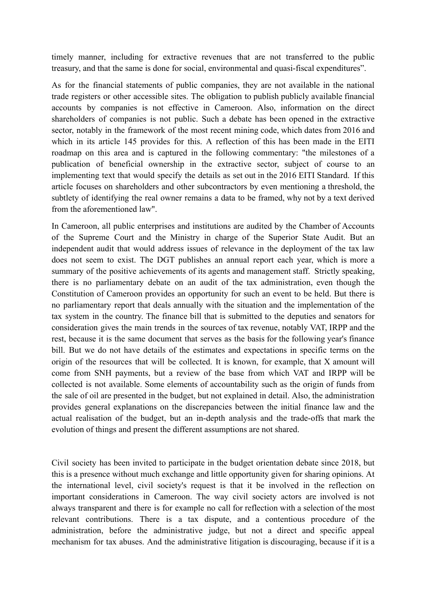timely manner, including for extractive revenues that are not transferred to the public treasury, and that the same is done for social, environmental and quasi-fiscal expenditures".

As for the financial statements of public companies, they are not available in the national trade registers or other accessible sites. The obligation to publish publicly available financial accounts by companies is not effective in Cameroon. Also, information on the direct shareholders of companies is not public. Such a debate has been opened in the extractive sector, notably in the framework of the most recent mining code, which dates from 2016 and which in its article 145 provides for this. A reflection of this has been made in the EITI roadmap on this area and is captured in the following commentary: "the milestones of a publication of beneficial ownership in the extractive sector, subject of course to an implementing text that would specify the details as set out in the 2016 EITI Standard. If this article focuses on shareholders and other subcontractors by even mentioning a threshold, the subtlety of identifying the real owner remains a data to be framed, why not by a text derived from the aforementioned law".

In Cameroon, all public enterprises and institutions are audited by the Chamber of Accounts of the Supreme Court and the Ministry in charge of the Superior State Audit. But an independent audit that would address issues of relevance in the deployment of the tax law does not seem to exist. The DGT publishes an annual report each year, which is more a summary of the positive achievements of its agents and management staff. Strictly speaking, there is no parliamentary debate on an audit of the tax administration, even though the Constitution of Cameroon provides an opportunity for such an event to be held. But there is no parliamentary report that deals annually with the situation and the implementation of the tax system in the country. The finance bill that is submitted to the deputies and senators for consideration gives the main trends in the sources of tax revenue, notably VAT, IRPP and the rest, because it is the same document that serves as the basis for the following year's finance bill. But we do not have details of the estimates and expectations in specific terms on the origin of the resources that will be collected. It is known, for example, that X amount will come from SNH payments, but a review of the base from which VAT and IRPP will be collected is not available. Some elements of accountability such as the origin of funds from the sale of oil are presented in the budget, but not explained in detail. Also, the administration provides general explanations on the discrepancies between the initial finance law and the actual realisation of the budget, but an in-depth analysis and the trade-offs that mark the evolution of things and present the different assumptions are not shared.

Civil society has been invited to participate in the budget orientation debate since 2018, but this is a presence without much exchange and little opportunity given for sharing opinions. At the international level, civil society's request is that it be involved in the reflection on important considerations in Cameroon. The way civil society actors are involved is not always transparent and there is for example no call for reflection with a selection of the most relevant contributions. There is a tax dispute, and a contentious procedure of the administration, before the administrative judge, but not a direct and specific appeal mechanism for tax abuses. And the administrative litigation is discouraging, because if it is a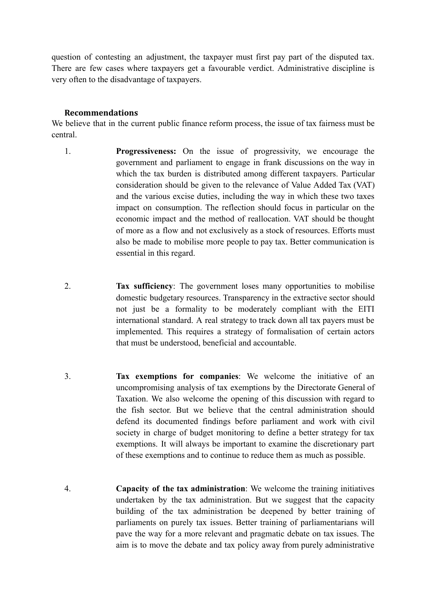question of contesting an adjustment, the taxpayer must first pay part of the disputed tax. There are few cases where taxpayers get a favourable verdict. Administrative discipline is very often to the disadvantage of taxpayers.

#### **Recommendations**

<span id="page-13-0"></span>We believe that in the current public finance reform process, the issue of tax fairness must be central.

- 1. **Progressiveness:** On the issue of progressivity, we encourage the government and parliament to engage in frank discussions on the way in which the tax burden is distributed among different taxpayers. Particular consideration should be given to the relevance of Value Added Tax (VAT) and the various excise duties, including the way in which these two taxes impact on consumption. The reflection should focus in particular on the economic impact and the method of reallocation. VAT should be thought of more as a flow and not exclusively as a stock of resources. Efforts must also be made to mobilise more people to pay tax. Better communication is essential in this regard.
- 2. **Tax sufficiency**: The government loses many opportunities to mobilise domestic budgetary resources. Transparency in the extractive sector should not just be a formality to be moderately compliant with the EITI international standard. A real strategy to track down all tax payers must be implemented. This requires a strategy of formalisation of certain actors that must be understood, beneficial and accountable.
- 3. **Tax exemptions for companies**: We welcome the initiative of an uncompromising analysis of tax exemptions by the Directorate General of Taxation. We also welcome the opening of this discussion with regard to the fish sector. But we believe that the central administration should defend its documented findings before parliament and work with civil society in charge of budget monitoring to define a better strategy for tax exemptions. It will always be important to examine the discretionary part of these exemptions and to continue to reduce them as much as possible.
- 4. **Capacity of the tax administration**: We welcome the training initiatives undertaken by the tax administration. But we suggest that the capacity building of the tax administration be deepened by better training of parliaments on purely tax issues. Better training of parliamentarians will pave the way for a more relevant and pragmatic debate on tax issues. The aim is to move the debate and tax policy away from purely administrative